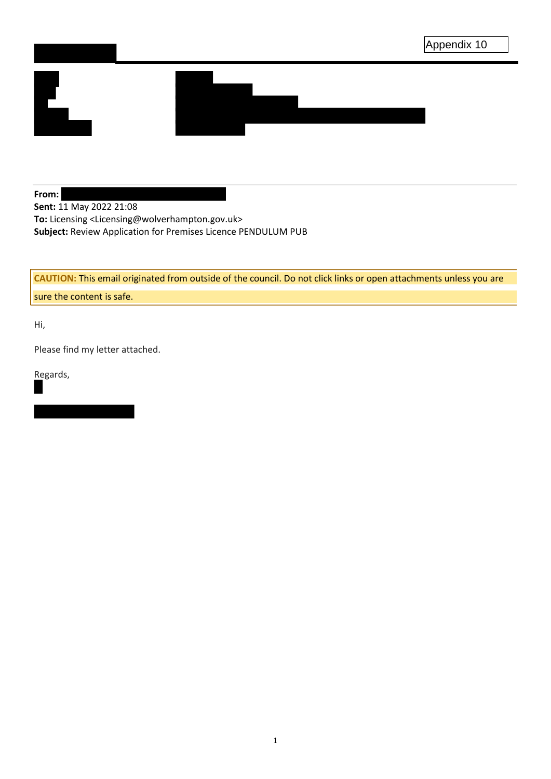

**From: Sent:** 11 May 2022 21:08 **To:** Licensing <Licensing@wolverhampton.gov.uk> **Subject:** Review Application for Premises Licence PENDULUM PUB

**CAUTION:** This email originated from outside of the council. Do not click links or open attachments unless you are sure the content is safe.

Hi,

Please find my letter attached.

Regards,

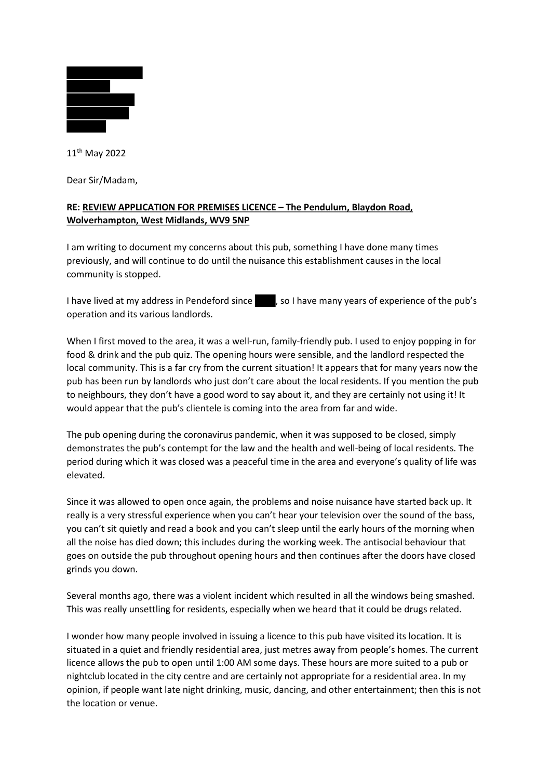

11th May 2022

Dear Sir/Madam,

## RE: REVIEW APPLICATION FOR PREMISES LICENCE – The Pendulum, Blaydon Road, Wolverhampton, West Midlands, WV9 5NP

I am writing to document my concerns about this pub, something I have done many times previously, and will continue to do until the nuisance this establishment causes in the local community is stopped.

I have lived at my address in Pendeford since , so I have many years of experience of the pub's operation and its various landlords.

When I first moved to the area, it was a well-run, family-friendly pub. I used to enjoy popping in for food & drink and the pub quiz. The opening hours were sensible, and the landlord respected the local community. This is a far cry from the current situation! It appears that for many years now the pub has been run by landlords who just don't care about the local residents. If you mention the pub to neighbours, they don't have a good word to say about it, and they are certainly not using it! It would appear that the pub's clientele is coming into the area from far and wide.

The pub opening during the coronavirus pandemic, when it was supposed to be closed, simply demonstrates the pub's contempt for the law and the health and well-being of local residents. The period during which it was closed was a peaceful time in the area and everyone's quality of life was elevated.

Since it was allowed to open once again, the problems and noise nuisance have started back up. It really is a very stressful experience when you can't hear your television over the sound of the bass, you can't sit quietly and read a book and you can't sleep until the early hours of the morning when all the noise has died down; this includes during the working week. The antisocial behaviour that goes on outside the pub throughout opening hours and then continues after the doors have closed grinds you down.

Several months ago, there was a violent incident which resulted in all the windows being smashed. This was really unsettling for residents, especially when we heard that it could be drugs related.

I wonder how many people involved in issuing a licence to this pub have visited its location. It is situated in a quiet and friendly residential area, just metres away from people's homes. The current licence allows the pub to open until 1:00 AM some days. These hours are more suited to a pub or nightclub located in the city centre and are certainly not appropriate for a residential area. In my opinion, if people want late night drinking, music, dancing, and other entertainment; then this is not the location or venue.